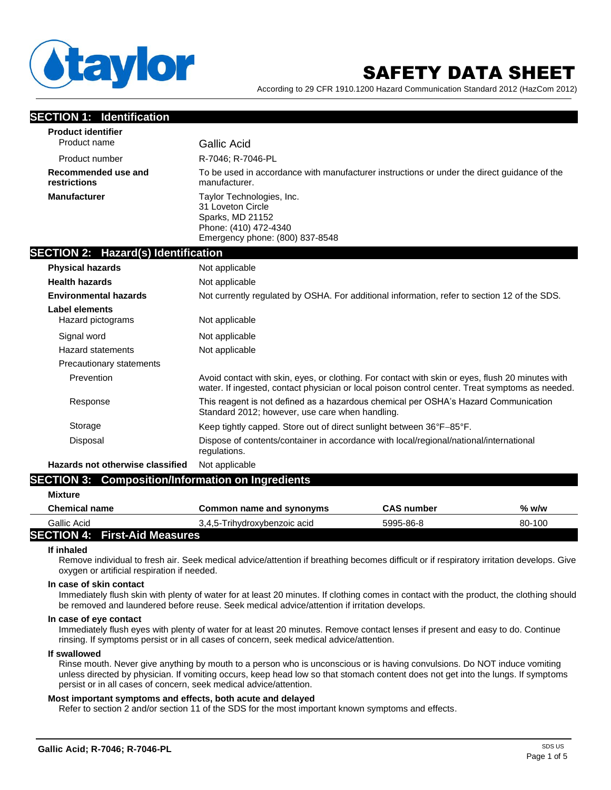

# SAFETY DATA SHEET

According to 29 CFR 1910.1200 Hazard Communication Standard 2012 (HazCom 2012)

| <b>SECTION 1: Identification</b>                                                                                                |                                                                                                                                                                                                     |
|---------------------------------------------------------------------------------------------------------------------------------|-----------------------------------------------------------------------------------------------------------------------------------------------------------------------------------------------------|
| <b>Product identifier</b>                                                                                                       |                                                                                                                                                                                                     |
| Product name                                                                                                                    | <b>Gallic Acid</b>                                                                                                                                                                                  |
| Product number                                                                                                                  | R-7046; R-7046-PL                                                                                                                                                                                   |
| Recommended use and<br>restrictions                                                                                             | To be used in accordance with manufacturer instructions or under the direct guidance of the<br>manufacturer.                                                                                        |
| <b>Manufacturer</b>                                                                                                             | Taylor Technologies, Inc.<br>31 Loveton Circle<br>Sparks, MD 21152<br>Phone: (410) 472-4340<br>Emergency phone: (800) 837-8548                                                                      |
| <b>SECTION 2: Hazard(s) Identification</b>                                                                                      |                                                                                                                                                                                                     |
| <b>Physical hazards</b>                                                                                                         | Not applicable                                                                                                                                                                                      |
| <b>Health hazards</b>                                                                                                           | Not applicable                                                                                                                                                                                      |
| <b>Environmental hazards</b>                                                                                                    | Not currently regulated by OSHA. For additional information, refer to section 12 of the SDS.                                                                                                        |
| <b>Label elements</b><br>Hazard pictograms                                                                                      | Not applicable                                                                                                                                                                                      |
| Signal word                                                                                                                     | Not applicable                                                                                                                                                                                      |
| <b>Hazard statements</b>                                                                                                        | Not applicable                                                                                                                                                                                      |
| Precautionary statements                                                                                                        |                                                                                                                                                                                                     |
| Prevention                                                                                                                      | Avoid contact with skin, eyes, or clothing. For contact with skin or eyes, flush 20 minutes with<br>water. If ingested, contact physician or local poison control center. Treat symptoms as needed. |
| Response                                                                                                                        | This reagent is not defined as a hazardous chemical per OSHA's Hazard Communication<br>Standard 2012; however, use care when handling.                                                              |
| Storage                                                                                                                         | Keep tightly capped. Store out of direct sunlight between 36°F-85°F.                                                                                                                                |
| Disposal                                                                                                                        | Dispose of contents/container in accordance with local/regional/national/international<br>regulations.                                                                                              |
| Hazards not otherwise classified                                                                                                | Not applicable                                                                                                                                                                                      |
| <b>OFATIALLA</b><br>$\bigwedge$ . The contract of the contract of $\bigcup_{i=1}^n A_i$ . The contract of $\bigcup_{i=1}^n A_i$ | and a compact the compatible and a                                                                                                                                                                  |

# **SECTION 3: Composition/Information on Ingredients**

| <b>Mixture</b>                       |                              |                   |         |
|--------------------------------------|------------------------------|-------------------|---------|
| Chemical name                        | Common name and synonyms     | <b>CAS</b> number | $%$ w/w |
| Gallic Acid                          | 3,4,5-Trihydroxybenzoic acid | 5995-86-8         | 80-100  |
| <b>SECTION 4: First-Aid Measures</b> |                              |                   |         |

#### **If inhaled**

Remove individual to fresh air. Seek medical advice/attention if breathing becomes difficult or if respiratory irritation develops. Give oxygen or artificial respiration if needed.

#### **In case of skin contact**

Immediately flush skin with plenty of water for at least 20 minutes. If clothing comes in contact with the product, the clothing should be removed and laundered before reuse. Seek medical advice/attention if irritation develops.

#### **In case of eye contact**

Immediately flush eyes with plenty of water for at least 20 minutes. Remove contact lenses if present and easy to do. Continue rinsing. If symptoms persist or in all cases of concern, seek medical advice/attention.

#### **If swallowed**

Rinse mouth. Never give anything by mouth to a person who is unconscious or is having convulsions. Do NOT induce vomiting unless directed by physician. If vomiting occurs, keep head low so that stomach content does not get into the lungs. If symptoms persist or in all cases of concern, seek medical advice/attention.

#### **Most important symptoms and effects, both acute and delayed**

Refer to section 2 and/or section 11 of the SDS for the most important known symptoms and effects.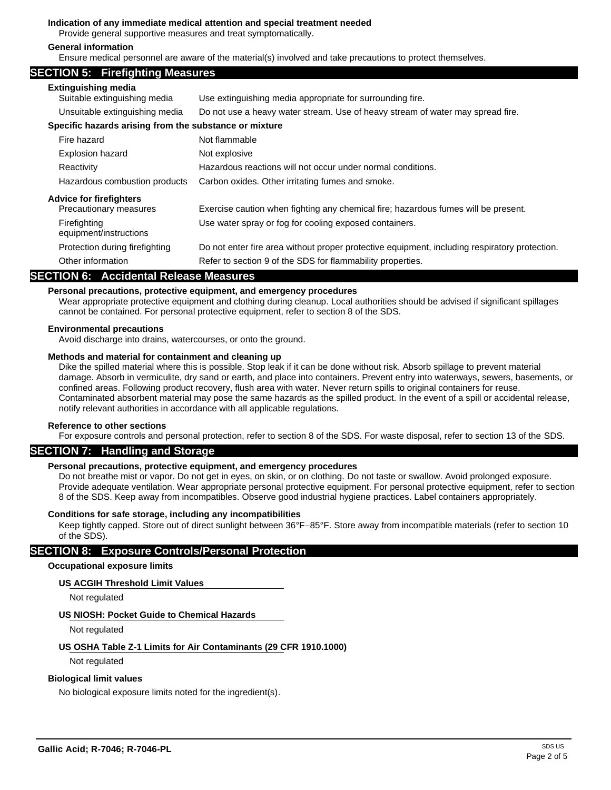#### **Indication of any immediate medical attention and special treatment needed**

Provide general supportive measures and treat symptomatically.

#### **General information**

Ensure medical personnel are aware of the material(s) involved and take precautions to protect themselves.

## **SECTION 5: Firefighting Measures**

| <b>Extinguishing media</b><br>Suitable extinguishing media | Use extinguishing media appropriate for surrounding fire.                                     |
|------------------------------------------------------------|-----------------------------------------------------------------------------------------------|
| Unsuitable extinguishing media                             | Do not use a heavy water stream. Use of heavy stream of water may spread fire.                |
| Specific hazards arising from the substance or mixture     |                                                                                               |
| Fire hazard                                                | Not flammable                                                                                 |
| Explosion hazard                                           | Not explosive                                                                                 |
| Reactivity                                                 | Hazardous reactions will not occur under normal conditions.                                   |
| Hazardous combustion products                              | Carbon oxides. Other irritating fumes and smoke.                                              |
| <b>Advice for firefighters</b>                             |                                                                                               |
| Precautionary measures                                     | Exercise caution when fighting any chemical fire; hazardous fumes will be present.            |
| Firefighting<br>equipment/instructions                     | Use water spray or fog for cooling exposed containers.                                        |
| Protection during firefighting                             | Do not enter fire area without proper protective equipment, including respiratory protection. |
| Other information                                          | Refer to section 9 of the SDS for flammability properties.                                    |

# **SECTION 6: Accidental Release Measures**

# **Personal precautions, protective equipment, and emergency procedures**

Wear appropriate protective equipment and clothing during cleanup. Local authorities should be advised if significant spillages cannot be contained. For personal protective equipment, refer to section 8 of the SDS.

#### **Environmental precautions**

Avoid discharge into drains, watercourses, or onto the ground.

#### **Methods and material for containment and cleaning up**

Dike the spilled material where this is possible. Stop leak if it can be done without risk. Absorb spillage to prevent material damage. Absorb in vermiculite, dry sand or earth, and place into containers. Prevent entry into waterways, sewers, basements, or confined areas. Following product recovery, flush area with water. Never return spills to original containers for reuse. Contaminated absorbent material may pose the same hazards as the spilled product. In the event of a spill or accidental release, notify relevant authorities in accordance with all applicable regulations.

#### **Reference to other sections**

For exposure controls and personal protection, refer to section 8 of the SDS. For waste disposal, refer to section 13 of the SDS.

# **SECTION 7: Handling and Storage**

#### **Personal precautions, protective equipment, and emergency procedures**

Do not breathe mist or vapor. Do not get in eyes, on skin, or on clothing. Do not taste or swallow. Avoid prolonged exposure. Provide adequate ventilation. Wear appropriate personal protective equipment. For personal protective equipment, refer to section 8 of the SDS. Keep away from incompatibles. Observe good industrial hygiene practices. Label containers appropriately.

#### **Conditions for safe storage, including any incompatibilities**

Keep tightly capped. Store out of direct sunlight between 36°F−85°F. Store away from incompatible materials (refer to section 10 of the SDS).

# **SECTION 8: Exposure Controls/Personal Protection**

# **Occupational exposure limits**

#### **US ACGIH Threshold Limit Values**

Not regulated

# **US NIOSH: Pocket Guide to Chemical Hazards**

Not regulated

# **US OSHA Table Z-1 Limits for Air Contaminants (29 CFR 1910.1000)**

Not regulated

#### **Biological limit values**

No biological exposure limits noted for the ingredient(s).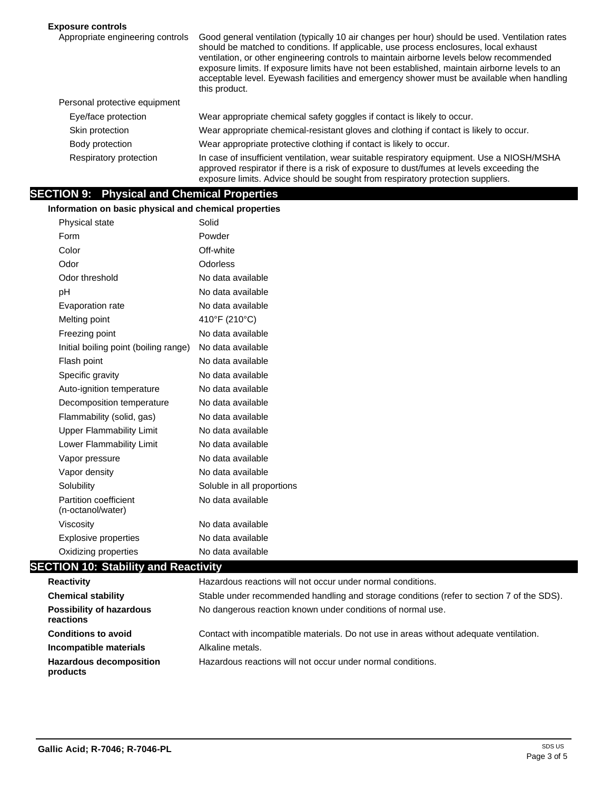# **Exposure controls**

| Appropriate engineering controls | Good general ventilation (typically 10 air changes per hour) should be used. Ventilation rates<br>should be matched to conditions. If applicable, use process enclosures, local exhaust<br>ventilation, or other engineering controls to maintain airborne levels below recommended<br>exposure limits. If exposure limits have not been established, maintain airborne levels to an<br>acceptable level. Eyewash facilities and emergency shower must be available when handling<br>this product. |
|----------------------------------|----------------------------------------------------------------------------------------------------------------------------------------------------------------------------------------------------------------------------------------------------------------------------------------------------------------------------------------------------------------------------------------------------------------------------------------------------------------------------------------------------|
| Personal protective equipment    |                                                                                                                                                                                                                                                                                                                                                                                                                                                                                                    |
| Eye/face protection              | Wear appropriate chemical safety goggles if contact is likely to occur.                                                                                                                                                                                                                                                                                                                                                                                                                            |
| Skin protection                  | Wear appropriate chemical-resistant gloves and clothing if contact is likely to occur.                                                                                                                                                                                                                                                                                                                                                                                                             |
| Body protection                  | Wear appropriate protective clothing if contact is likely to occur.                                                                                                                                                                                                                                                                                                                                                                                                                                |
| Respiratory protection           | In case of insufficient ventilation, wear suitable respiratory equipment. Use a NIOSH/MSHA<br>approved respirator if there is a risk of exposure to dust/fumes at levels exceeding the<br>exposure limits. Advice should be sought from respiratory protection suppliers.                                                                                                                                                                                                                          |

# **SECTION 9: Physical and Chemical Properties**

**Information on basic physical and chemical properties**

| Physical state                             | Solid                      |
|--------------------------------------------|----------------------------|
| Form                                       | Powder                     |
| Color                                      | Off-white                  |
| Odor                                       | Odorless                   |
| Odor threshold                             | No data available          |
| рH                                         | No data available          |
| Evaporation rate                           | No data available          |
| Melting point                              | 410°F (210°C)              |
| Freezing point                             | No data available          |
| Initial boiling point (boiling range)      | No data available          |
| Flash point                                | No data available          |
| Specific gravity                           | No data available          |
| Auto-ignition temperature                  | No data available          |
| Decomposition temperature                  | No data available          |
| Flammability (solid, gas)                  | No data available          |
| <b>Upper Flammability Limit</b>            | No data available          |
| Lower Flammability Limit                   | No data available          |
| Vapor pressure                             | No data available          |
| Vapor density                              | No data available          |
| Solubility                                 | Soluble in all proportions |
| Partition coefficient<br>(n-octanol/water) | No data available          |
| Viscosity                                  | No data available          |
| <b>Explosive properties</b>                | No data available          |
| Oxidizing properties                       | No data available          |
| <b>FION 10: Stability and Reactivity</b>   |                            |

# **SEC**

| <b>Reactivity</b>                            | Hazardous reactions will not occur under normal conditions.                               |
|----------------------------------------------|-------------------------------------------------------------------------------------------|
| <b>Chemical stability</b>                    | Stable under recommended handling and storage conditions (refer to section 7 of the SDS). |
| <b>Possibility of hazardous</b><br>reactions | No dangerous reaction known under conditions of normal use.                               |
| <b>Conditions to avoid</b>                   | Contact with incompatible materials. Do not use in areas without adequate ventilation.    |
| Incompatible materials                       | Alkaline metals.                                                                          |
| <b>Hazardous decomposition</b><br>products   | Hazardous reactions will not occur under normal conditions.                               |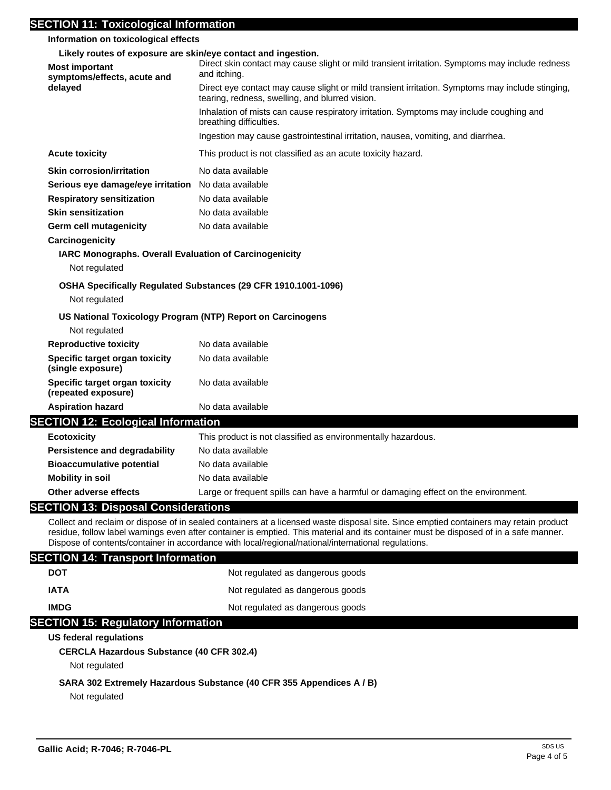# **SECTION 11: Toxicological Information**

| SECTION 11: Toxicological Information<br>Information on toxicological effects                                         |                                                                                                                                                                                                                                                                                                                                                                                       |
|-----------------------------------------------------------------------------------------------------------------------|---------------------------------------------------------------------------------------------------------------------------------------------------------------------------------------------------------------------------------------------------------------------------------------------------------------------------------------------------------------------------------------|
|                                                                                                                       |                                                                                                                                                                                                                                                                                                                                                                                       |
| Likely routes of exposure are skin/eye contact and ingestion.<br><b>Most important</b><br>symptoms/effects, acute and | Direct skin contact may cause slight or mild transient irritation. Symptoms may include redness<br>and itching.                                                                                                                                                                                                                                                                       |
| delayed                                                                                                               | Direct eye contact may cause slight or mild transient irritation. Symptoms may include stinging,<br>tearing, redness, swelling, and blurred vision.                                                                                                                                                                                                                                   |
|                                                                                                                       | Inhalation of mists can cause respiratory irritation. Symptoms may include coughing and<br>breathing difficulties.                                                                                                                                                                                                                                                                    |
|                                                                                                                       | Ingestion may cause gastrointestinal irritation, nausea, vomiting, and diarrhea.                                                                                                                                                                                                                                                                                                      |
| <b>Acute toxicity</b>                                                                                                 | This product is not classified as an acute toxicity hazard.                                                                                                                                                                                                                                                                                                                           |
| <b>Skin corrosion/irritation</b>                                                                                      | No data available                                                                                                                                                                                                                                                                                                                                                                     |
| Serious eye damage/eye irritation No data available                                                                   |                                                                                                                                                                                                                                                                                                                                                                                       |
| <b>Respiratory sensitization</b>                                                                                      | No data available                                                                                                                                                                                                                                                                                                                                                                     |
| <b>Skin sensitization</b>                                                                                             | No data available                                                                                                                                                                                                                                                                                                                                                                     |
| <b>Germ cell mutagenicity</b>                                                                                         | No data available                                                                                                                                                                                                                                                                                                                                                                     |
| Carcinogenicity                                                                                                       |                                                                                                                                                                                                                                                                                                                                                                                       |
| <b>IARC Monographs. Overall Evaluation of Carcinogenicity</b>                                                         |                                                                                                                                                                                                                                                                                                                                                                                       |
| Not regulated                                                                                                         |                                                                                                                                                                                                                                                                                                                                                                                       |
|                                                                                                                       | OSHA Specifically Regulated Substances (29 CFR 1910.1001-1096)                                                                                                                                                                                                                                                                                                                        |
| Not regulated                                                                                                         |                                                                                                                                                                                                                                                                                                                                                                                       |
| US National Toxicology Program (NTP) Report on Carcinogens                                                            |                                                                                                                                                                                                                                                                                                                                                                                       |
| Not regulated                                                                                                         |                                                                                                                                                                                                                                                                                                                                                                                       |
| <b>Reproductive toxicity</b>                                                                                          | No data available                                                                                                                                                                                                                                                                                                                                                                     |
| Specific target organ toxicity<br>(single exposure)                                                                   | No data available                                                                                                                                                                                                                                                                                                                                                                     |
| Specific target organ toxicity<br>(repeated exposure)                                                                 | No data available                                                                                                                                                                                                                                                                                                                                                                     |
| <b>Aspiration hazard</b>                                                                                              | No data available                                                                                                                                                                                                                                                                                                                                                                     |
| <b>SECTION 12: Ecological Information</b>                                                                             |                                                                                                                                                                                                                                                                                                                                                                                       |
| <b>Ecotoxicity</b>                                                                                                    | This product is not classified as environmentally hazardous.                                                                                                                                                                                                                                                                                                                          |
| <b>Persistence and degradability</b>                                                                                  | No data available                                                                                                                                                                                                                                                                                                                                                                     |
| <b>Bioaccumulative potential</b>                                                                                      | No data available                                                                                                                                                                                                                                                                                                                                                                     |
| <b>Mobility in soil</b>                                                                                               | No data available                                                                                                                                                                                                                                                                                                                                                                     |
| Other adverse effects                                                                                                 | Large or frequent spills can have a harmful or damaging effect on the environment.                                                                                                                                                                                                                                                                                                    |
| <b>SECTION 13: Disposal Considerations</b>                                                                            |                                                                                                                                                                                                                                                                                                                                                                                       |
|                                                                                                                       | Collect and reclaim or dispose of in sealed containers at a licensed waste disposal site. Since emptied containers may retain product<br>residue, follow label warnings even after container is emptied. This material and its container must be disposed of in a safe manner.<br>Dispose of contents/container in accordance with local/regional/national/international regulations. |
| <b>SECTION 14: Transport Information</b>                                                                              |                                                                                                                                                                                                                                                                                                                                                                                       |
| <b>DOT</b>                                                                                                            | Not regulated as dangerous goods                                                                                                                                                                                                                                                                                                                                                      |
| <b>IATA</b>                                                                                                           | Not regulated as dangerous goods                                                                                                                                                                                                                                                                                                                                                      |
| <b>IMDG</b>                                                                                                           | Not regulated as dangerous goods                                                                                                                                                                                                                                                                                                                                                      |

# **SECTION 15: Regulatory Information**

# **US federal regulations**

**CERCLA Hazardous Substance (40 CFR 302.4)**

Not regulated

# **SARA 302 Extremely Hazardous Substance (40 CFR 355 Appendices A / B)**

Not regulated